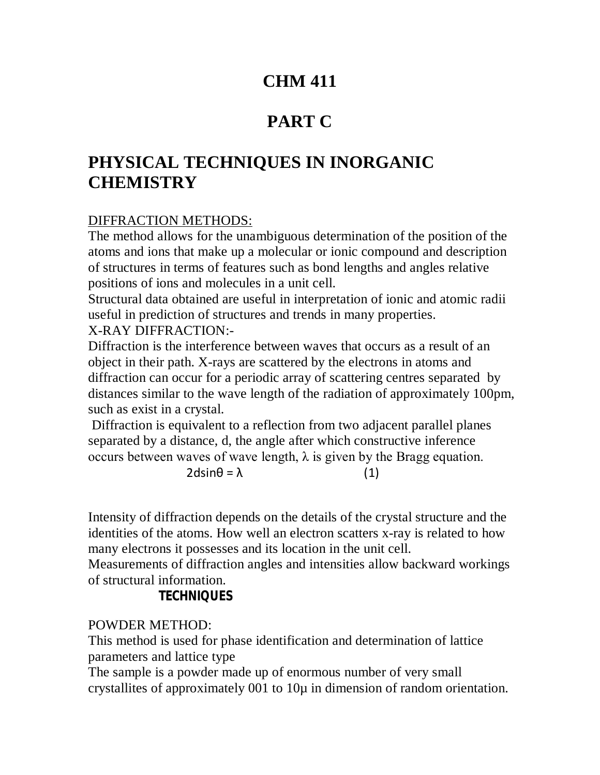# **CHM 411**

# **PART C**

# **PHYSICAL TECHNIQUES IN INORGANIC CHEMISTRY**

## DIFFRACTION METHODS:

The method allows for the unambiguous determination of the position of the atoms and ions that make up a molecular or ionic compound and description of structures in terms of features such as bond lengths and angles relative positions of ions and molecules in a unit cell.

Structural data obtained are useful in interpretation of ionic and atomic radii useful in prediction of structures and trends in many properties.

X-RAY DIFFRACTION:-

Diffraction is the interference between waves that occurs as a result of an object in their path. X-rays are scattered by the electrons in atoms and diffraction can occur for a periodic array of scattering centres separated by distances similar to the wave length of the radiation of approximately 100pm, such as exist in a crystal.

Diffraction is equivalent to a reflection from two adjacent parallel planes separated by a distance, d, the angle after which constructive inference occurs between waves of wave length,  $\lambda$  is given by the Bragg equation.

 $2d\sin\theta = \lambda$  (1)

Intensity of diffraction depends on the details of the crystal structure and the identities of the atoms. How well an electron scatters x-ray is related to how many electrons it possesses and its location in the unit cell.

Measurements of diffraction angles and intensities allow backward workings of structural information.

## **TECHNIQUES**

### POWDER METHOD:

This method is used for phase identification and determination of lattice parameters and lattice type

The sample is a powder made up of enormous number of very small crystallites of approximately 001 to 10µ in dimension of random orientation.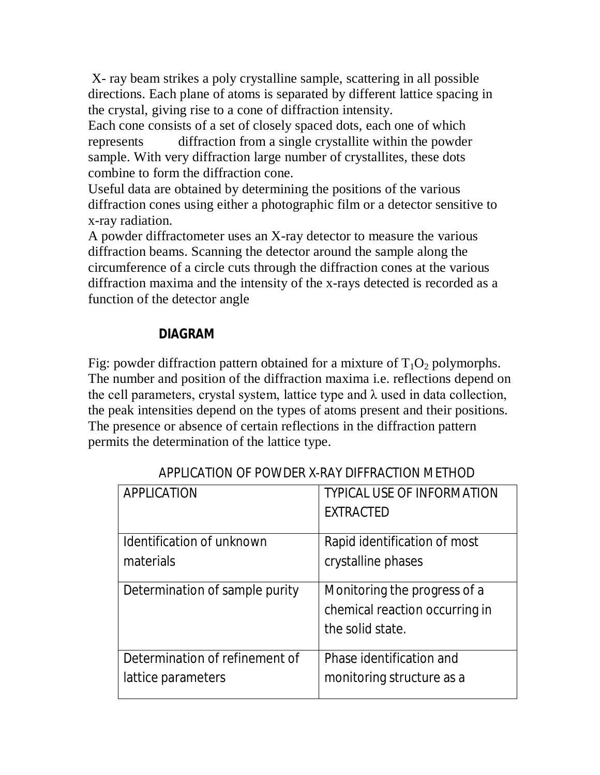X- ray beam strikes a poly crystalline sample, scattering in all possible directions. Each plane of atoms is separated by different lattice spacing in the crystal, giving rise to a cone of diffraction intensity.

Each cone consists of a set of closely spaced dots, each one of which represents diffraction from a single crystallite within the powder sample. With very diffraction large number of crystallites, these dots combine to form the diffraction cone.

Useful data are obtained by determining the positions of the various diffraction cones using either a photographic film or a detector sensitive to x-ray radiation.

A powder diffractometer uses an X-ray detector to measure the various diffraction beams. Scanning the detector around the sample along the circumference of a circle cuts through the diffraction cones at the various diffraction maxima and the intensity of the x-rays detected is recorded as a function of the detector angle

### **DIAGRAM**

Fig: powder diffraction pattern obtained for a mixture of  $T_1O_2$  polymorphs. The number and position of the diffraction maxima i.e. reflections depend on the cell parameters, crystal system, lattice type and  $\lambda$  used in data collection, the peak intensities depend on the types of atoms present and their positions. The presence or absence of certain reflections in the diffraction pattern permits the determination of the lattice type.

| APPLICATION                    | <b>TYPICAL USE OF INFORMATION</b> |
|--------------------------------|-----------------------------------|
|                                | <b>EXTRACTED</b>                  |
|                                |                                   |
| Identification of unknown      | Rapid identification of most      |
| materials                      | crystalline phases                |
|                                |                                   |
| Determination of sample purity | Monitoring the progress of a      |
|                                | chemical reaction occurring in    |
|                                | the solid state.                  |
|                                |                                   |
| Determination of refinement of | Phase identification and          |
| lattice parameters             | monitoring structure as a         |
|                                |                                   |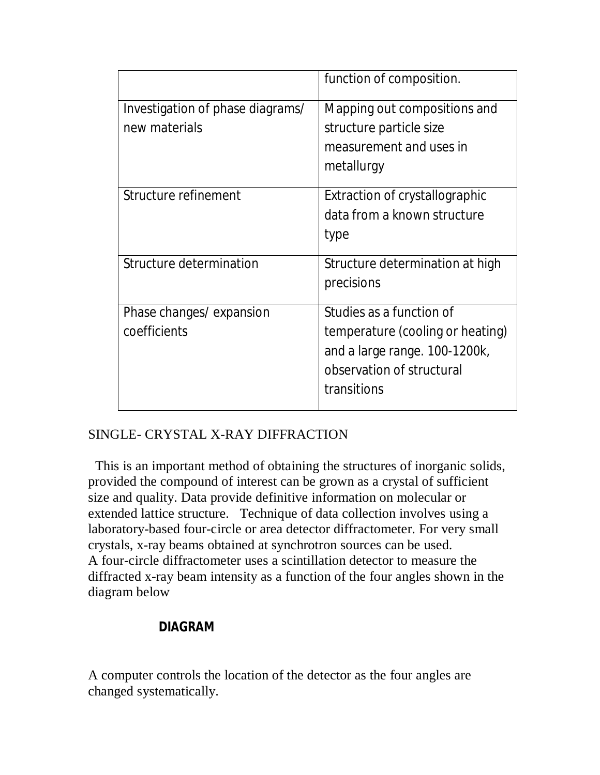|                                                   | function of composition.                                                                                      |
|---------------------------------------------------|---------------------------------------------------------------------------------------------------------------|
| Investigation of phase diagrams/<br>new materials | Mapping out compositions and<br>structure particle size                                                       |
|                                                   | measurement and uses in<br>metallurgy                                                                         |
| Structure refinement                              | Extraction of crystallographic                                                                                |
|                                                   | data from a known structure                                                                                   |
|                                                   | type                                                                                                          |
| Structure determination                           | Structure determination at high<br>precisions                                                                 |
| Phase changes/ expansion                          | Studies as a function of                                                                                      |
| coefficients                                      | temperature (cooling or heating)<br>and a large range. 100-1200k,<br>observation of structural<br>transitions |

## SINGLE- CRYSTAL X-RAY DIFFRACTION

 This is an important method of obtaining the structures of inorganic solids, provided the compound of interest can be grown as a crystal of sufficient size and quality. Data provide definitive information on molecular or extended lattice structure. Technique of data collection involves using a laboratory-based four-circle or area detector diffractometer. For very small crystals, x-ray beams obtained at synchrotron sources can be used. A four-circle diffractometer uses a scintillation detector to measure the diffracted x-ray beam intensity as a function of the four angles shown in the diagram below

#### **DIAGRAM**

A computer controls the location of the detector as the four angles are changed systematically.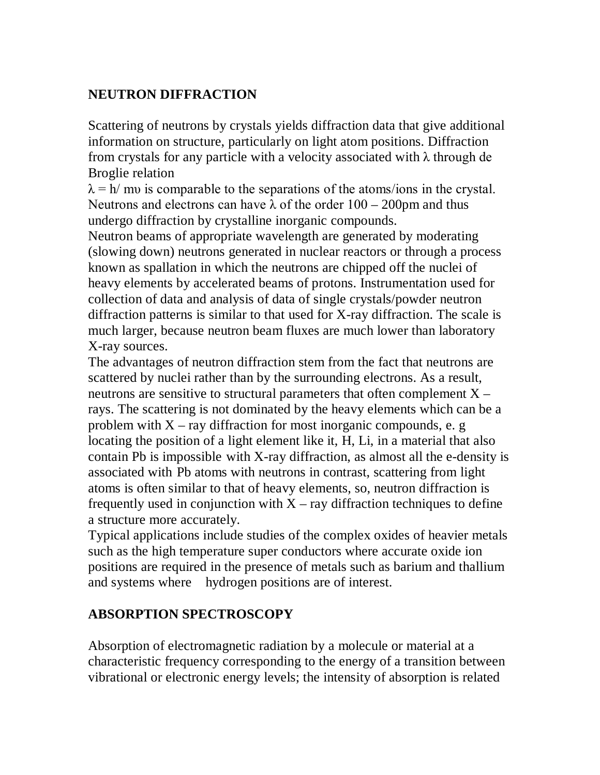## **NEUTRON DIFFRACTION**

Scattering of neutrons by crystals yields diffraction data that give additional information on structure, particularly on light atom positions. Diffraction from crystals for any particle with a velocity associated with  $\lambda$  through de Broglie relation

 $\lambda = h/mv$  is comparable to the separations of the atoms/ions in the crystal. Neutrons and electrons can have  $\lambda$  of the order  $100 - 200$  pm and thus undergo diffraction by crystalline inorganic compounds.

Neutron beams of appropriate wavelength are generated by moderating (slowing down) neutrons generated in nuclear reactors or through a process known as spallation in which the neutrons are chipped off the nuclei of heavy elements by accelerated beams of protons. Instrumentation used for collection of data and analysis of data of single crystals/powder neutron diffraction patterns is similar to that used for X-ray diffraction. The scale is much larger, because neutron beam fluxes are much lower than laboratory X-ray sources.

The advantages of neutron diffraction stem from the fact that neutrons are scattered by nuclei rather than by the surrounding electrons. As a result, neutrons are sensitive to structural parameters that often complement  $X$ rays. The scattering is not dominated by the heavy elements which can be a problem with  $X$  – ray diffraction for most inorganic compounds, e. g. locating the position of a light element like it, H, Li, in a material that also contain Pb is impossible with X-ray diffraction, as almost all the e-density is associated with Pb atoms with neutrons in contrast, scattering from light atoms is often similar to that of heavy elements, so, neutron diffraction is frequently used in conjunction with  $X - ray$  diffraction techniques to define a structure more accurately.

Typical applications include studies of the complex oxides of heavier metals such as the high temperature super conductors where accurate oxide ion positions are required in the presence of metals such as barium and thallium and systems where hydrogen positions are of interest.

## **ABSORPTION SPECTROSCOPY**

Absorption of electromagnetic radiation by a molecule or material at a characteristic frequency corresponding to the energy of a transition between vibrational or electronic energy levels; the intensity of absorption is related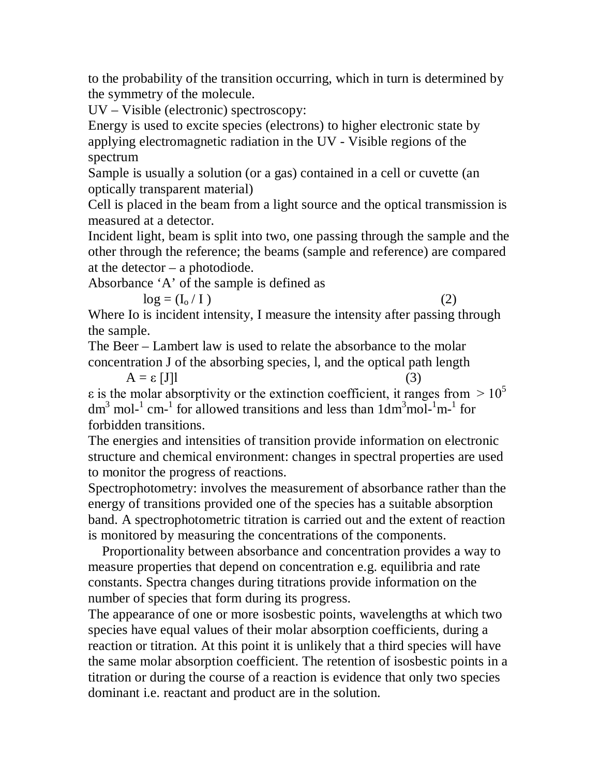to the probability of the transition occurring, which in turn is determined by the symmetry of the molecule.

UV – Visible (electronic) spectroscopy:

Energy is used to excite species (electrons) to higher electronic state by applying electromagnetic radiation in the UV - Visible regions of the spectrum

Sample is usually a solution (or a gas) contained in a cell or cuvette (an optically transparent material)

Cell is placed in the beam from a light source and the optical transmission is measured at a detector.

Incident light, beam is split into two, one passing through the sample and the other through the reference; the beams (sample and reference) are compared at the detector – a photodiode.

Absorbance 'A' of the sample is defined as

$$
\log = (\mathbf{I}_0 / \mathbf{I}) \tag{2}
$$

Where Io is incident intensity, I measure the intensity after passing through the sample.

The Beer – Lambert law is used to relate the absorbance to the molar concentration J of the absorbing species, l, and the optical path length

 $A = \varepsilon [J]$  (3)  $\varepsilon$  is the molar absorptivity or the extinction coefficient, it ranges from  $> 10^5$ dm<sup>3</sup> mol-<sup>1</sup> cm-<sup>1</sup> for allowed transitions and less than  $1dm<sup>3</sup>mol<sup>-1</sup>m<sup>-1</sup>$  for forbidden transitions.

The energies and intensities of transition provide information on electronic structure and chemical environment: changes in spectral properties are used to monitor the progress of reactions.

Spectrophotometry: involves the measurement of absorbance rather than the energy of transitions provided one of the species has a suitable absorption band. A spectrophotometric titration is carried out and the extent of reaction is monitored by measuring the concentrations of the components.

 Proportionality between absorbance and concentration provides a way to measure properties that depend on concentration e.g. equilibria and rate constants. Spectra changes during titrations provide information on the number of species that form during its progress.

The appearance of one or more isosbestic points, wavelengths at which two species have equal values of their molar absorption coefficients, during a reaction or titration. At this point it is unlikely that a third species will have the same molar absorption coefficient. The retention of isosbestic points in a titration or during the course of a reaction is evidence that only two species dominant i.e. reactant and product are in the solution.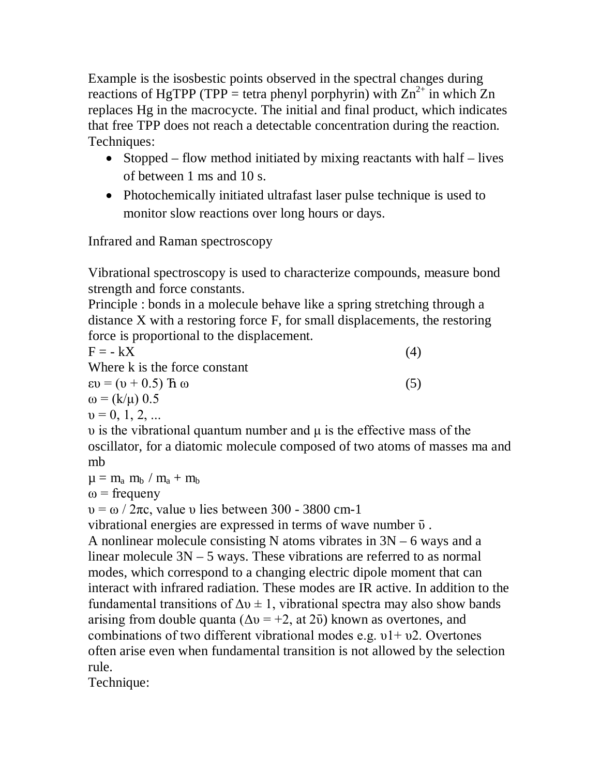Example is the isosbestic points observed in the spectral changes during reactions of HgTPP (TPP = tetra phenyl porphyrin) with  $\text{Zn}^{2+}$  in which  $\text{Zn}$ replaces Hg in the macrocycte. The initial and final product, which indicates that free TPP does not reach a detectable concentration during the reaction. Techniques:

- Stopped flow method initiated by mixing reactants with half lives of between 1 ms and 10 s.
- Photochemically initiated ultrafast laser pulse technique is used to monitor slow reactions over long hours or days.

Infrared and Raman spectroscopy

Vibrational spectroscopy is used to characterize compounds, measure bond strength and force constants.

Principle : bonds in a molecule behave like a spring stretching through a distance X with a restoring force F, for small displacements, the restoring force is proportional to the displacement.

 $F = -kX$  (4) Where k is the force constant  $\epsilon v = (v + 0.5)$   $\hbar \omega$  (5)  $ω = (k/μ) 0.5$  $v = 0, 1, 2, ...$ 

υ is the vibrational quantum number and μ is the effective mass of the oscillator, for a diatomic molecule composed of two atoms of masses ma and mb

 $\mu = m_a m_b / m_a + m_b$ 

 $\omega$  = frequeny

υ = ω / 2πc, value υ lies between 300 - 3800 cm-1

vibrational energies are expressed in terms of wave number  $\bar{v}$ .

A nonlinear molecule consisting N atoms vibrates in 3N – 6 ways and a linear molecule 3N – 5 ways. These vibrations are referred to as normal modes, which correspond to a changing electric dipole moment that can interact with infrared radiation. These modes are IR active. In addition to the fundamental transitions of  $\Delta v \pm 1$ , vibrational spectra may also show bands arising from double quanta ( $\Delta v = +2$ , at  $2\bar{v}$ ) known as overtones, and combinations of two different vibrational modes e.g.  $v1 + v2$ . Overtones often arise even when fundamental transition is not allowed by the selection rule.

Technique: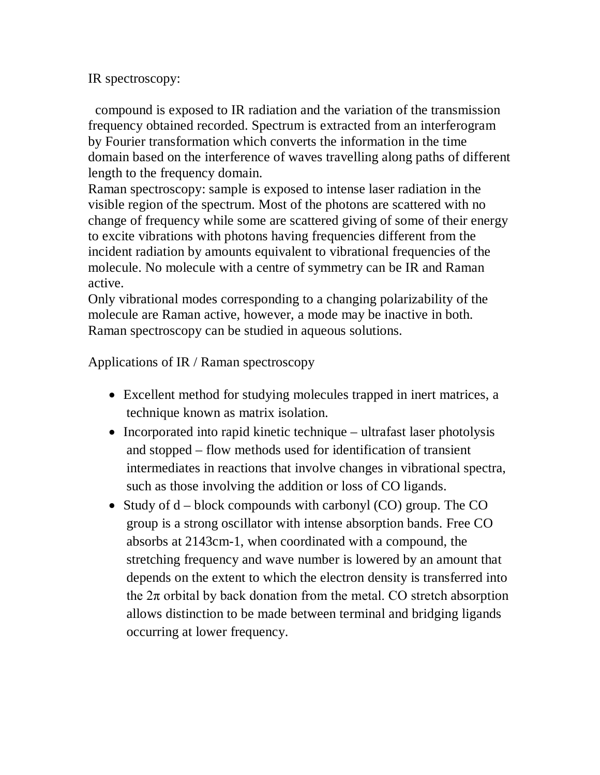IR spectroscopy:

 compound is exposed to IR radiation and the variation of the transmission frequency obtained recorded. Spectrum is extracted from an interferogram by Fourier transformation which converts the information in the time domain based on the interference of waves travelling along paths of different length to the frequency domain.

Raman spectroscopy: sample is exposed to intense laser radiation in the visible region of the spectrum. Most of the photons are scattered with no change of frequency while some are scattered giving of some of their energy to excite vibrations with photons having frequencies different from the incident radiation by amounts equivalent to vibrational frequencies of the molecule. No molecule with a centre of symmetry can be IR and Raman active.

Only vibrational modes corresponding to a changing polarizability of the molecule are Raman active, however, a mode may be inactive in both. Raman spectroscopy can be studied in aqueous solutions.

Applications of IR / Raman spectroscopy

- Excellent method for studying molecules trapped in inert matrices, a technique known as matrix isolation.
- $\bullet$  Incorporated into rapid kinetic technique ultrafast laser photolysis and stopped – flow methods used for identification of transient intermediates in reactions that involve changes in vibrational spectra, such as those involving the addition or loss of CO ligands.
- Study of  $d$  block compounds with carbonyl (CO) group. The CO group is a strong oscillator with intense absorption bands. Free CO absorbs at 2143cm-1, when coordinated with a compound, the stretching frequency and wave number is lowered by an amount that depends on the extent to which the electron density is transferred into the  $2\pi$  orbital by back donation from the metal. CO stretch absorption allows distinction to be made between terminal and bridging ligands occurring at lower frequency.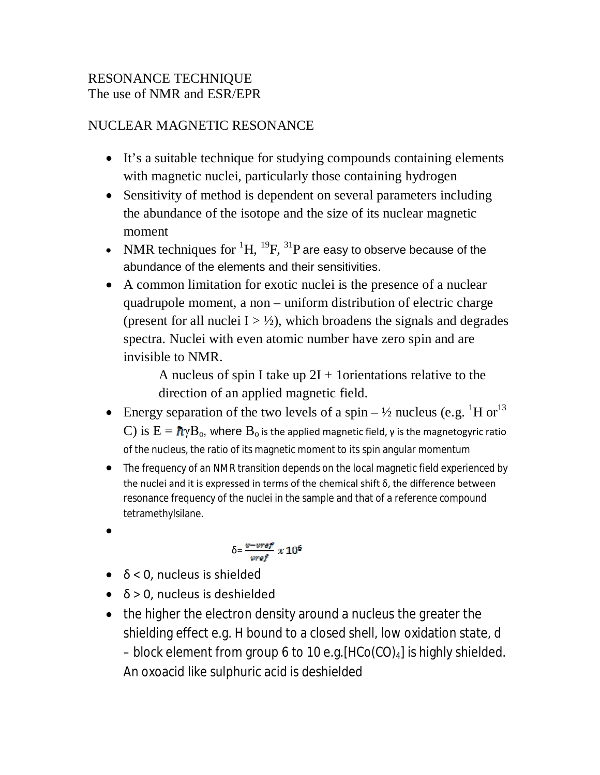### RESONANCE TECHNIQUE The use of NMR and ESR/EPR

## NUCLEAR MAGNETIC RESONANCE

- It's a suitable technique for studying compounds containing elements with magnetic nuclei, particularly those containing hydrogen
- Sensitivity of method is dependent on several parameters including the abundance of the isotope and the size of its nuclear magnetic moment
- NMR techniques for  ${}^{1}H$ ,  ${}^{19}F$ ,  ${}^{31}P$  are easy to observe because of the abundance of the elements and their sensitivities.
- A common limitation for exotic nuclei is the presence of a nuclear quadrupole moment, a non – uniform distribution of electric charge (present for all nuclei  $I > \frac{1}{2}$ ), which broadens the signals and degrades spectra. Nuclei with even atomic number have zero spin and are invisible to NMR.

A nucleus of spin I take up  $2I + 1$  orientations relative to the direction of an applied magnetic field.

- Energy separation of the two levels of a spin  $-\frac{1}{2}$  nucleus (e.g.  $^{1}$ H or  $^{13}$ ) C) is  $E = \hbar \gamma B_0$ , where  $B_0$  is the applied magnetic field,  $\gamma$  is the magnetogyric ratio of the nucleus, the ratio of its magnetic moment to its spin angular momentum
- The frequency of an NMR transition depends on the local magnetic field experienced by the nuclei and it is expressed in terms of the chemical shift δ, the difference between resonance frequency of the nuclei in the sample and that of a reference compound tetramethylsilane.
- $\bullet$

$$
\delta = \frac{v - vref}{vref} \times 10^6
$$

- $\bullet$   $\delta$  < 0, nucleus is shielded
- $\bullet$   $\delta$  > 0, nucleus is deshielded
- the higher the electron density around a nucleus the greater the shielding effect e.g. H bound to a closed shell, low oxidation state, d – block element from group 6 to 10 e.g.  $[HCo(CO)_4]$  is highly shielded. An oxoacid like sulphuric acid is deshielded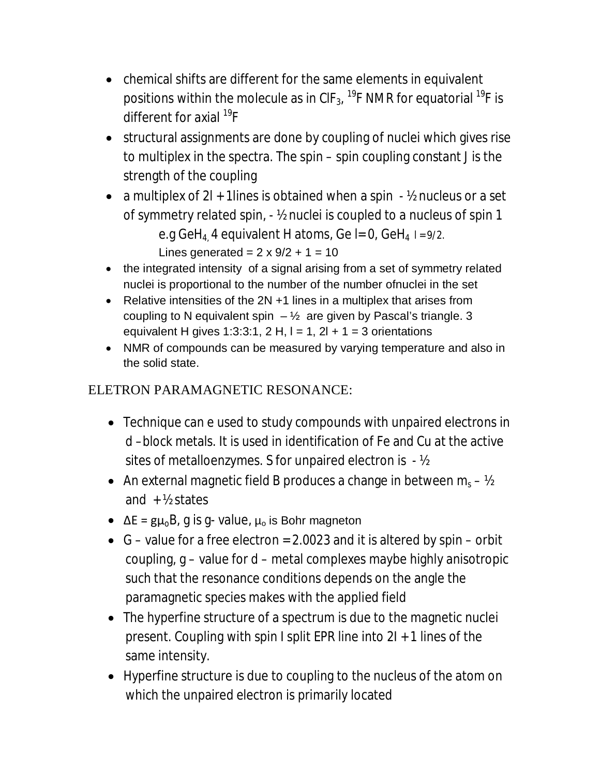- chemical shifts are different for the same elements in equivalent positions within the molecule as in CIF $_{\rm 3}$ , <sup>19</sup>F NMR for equatorial <sup>19</sup>F is different for axial <sup>19</sup>F
- structural assignments are done by coupling of nuclei which gives rise to multiplex in the spectra. The spin – spin coupling constant J is the strength of the coupling
- a multiplex of  $2l + 1$  lines is obtained when a spin  $\frac{1}{2}$  nucleus or a set of symmetry related spin, - ½ nuclei is coupled to a nucleus of spin 1 e.g GeH<sub>4</sub> 4 equivalent H atoms, Ge I= 0, GeH<sub>4</sub>  $1 = 9/2$ . Lines generated =  $2 \times 9/2 + 1 = 10$
- the integrated intensity of a signal arising from a set of symmetry related nuclei is proportional to the number of the number ofnuclei in the set
- Relative intensities of the 2N +1 lines in a multiplex that arises from coupling to N equivalent spin  $-\frac{1}{2}$  are given by Pascal's triangle. 3 equivalent H gives 1:3:3:1, 2 H,  $I = 1$ , 2l + 1 = 3 orientations
- NMR of compounds can be measured by varying temperature and also in the solid state.

## ELETRON PARAMAGNETIC RESONANCE:

- Technique can e used to study compounds with unpaired electrons in d –block metals. It is used in identification of Fe and Cu at the active sites of metalloenzymes. S for unpaired electron is - ½
- An external magnetic field B produces a change in between  $m_s V_2$ and  $+$  ½ states
- $\Delta E = g\mu_0 B$ , g is g- value,  $\mu_0$  is Bohr magneton
- G value for a free electron = 2.0023 and it is altered by spin orbit coupling, g – value for d – metal complexes maybe highly anisotropic such that the resonance conditions depends on the angle the paramagnetic species makes with the applied field
- The hyperfine structure of a spectrum is due to the magnetic nuclei present. Coupling with spin I split EPR line into 2I + 1 lines of the same intensity.
- Hyperfine structure is due to coupling to the nucleus of the atom on which the unpaired electron is primarily located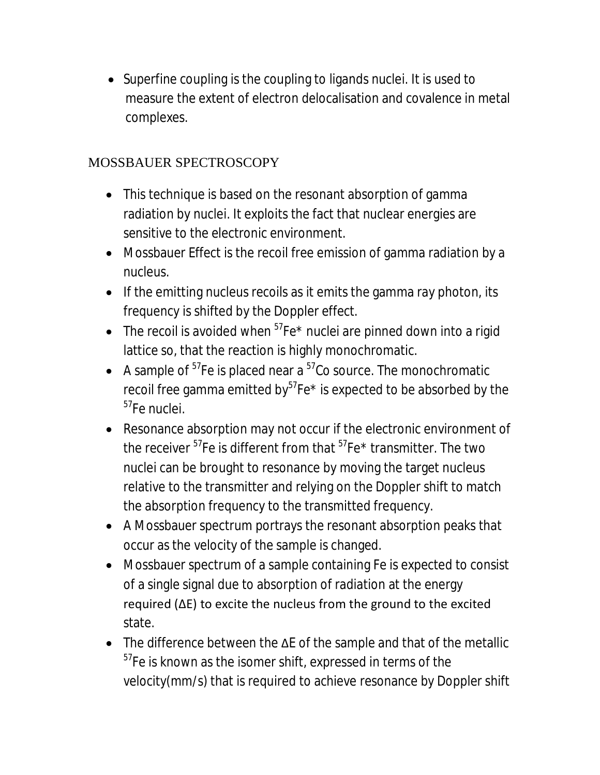• Superfine coupling is the coupling to ligands nuclei. It is used to measure the extent of electron delocalisation and covalence in metal complexes.

## MOSSBAUER SPECTROSCOPY

- This technique is based on the resonant absorption of gamma radiation by nuclei. It exploits the fact that nuclear energies are sensitive to the electronic environment.
- Mossbauer Effect is the recoil free emission of gamma radiation by a nucleus.
- $\bullet$  If the emitting nucleus recoils as it emits the gamma ray photon, its frequency is shifted by the Doppler effect.
- The recoil is avoided when  $57Fe^*$  nuclei are pinned down into a rigid lattice so, that the reaction is highly monochromatic.
- A sample of  $57$ Fe is placed near a  $57$ Co source. The monochromatic recoil free gamma emitted by $57$ Fe\* is expected to be absorbed by the <sup>57</sup>Fe nuclei.
- Resonance absorption may not occur if the electronic environment of the receiver  $57$ Fe is different from that  $57$ Fe\* transmitter. The two nuclei can be brought to resonance by moving the target nucleus relative to the transmitter and relying on the Doppler shift to match the absorption frequency to the transmitted frequency.
- A Mossbauer spectrum portrays the resonant absorption peaks that occur as the velocity of the sample is changed.
- Mossbauer spectrum of a sample containing Fe is expected to consist of a single signal due to absorption of radiation at the energy required (ΔE) to excite the nucleus from the ground to the excited state.
- The difference between the ΔE of the sample and that of the metallic <sup>57</sup>Fe is known as the isomer shift, expressed in terms of the velocity(mm/s) that is required to achieve resonance by Doppler shift